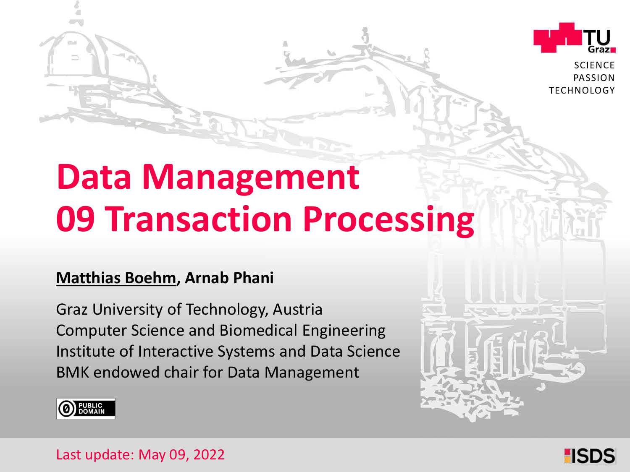

**SCIENCE** PASSION **TECHNOLOGY** 

# **Data Management 09 Transaction Processing**

#### **Matthias Boehm, Arnab Phani**

Graz University of Technology, Austria Institute of Interactive Systems and Data Science Computer Science and Biomedical Engineering BMK endowed chair for Data Management





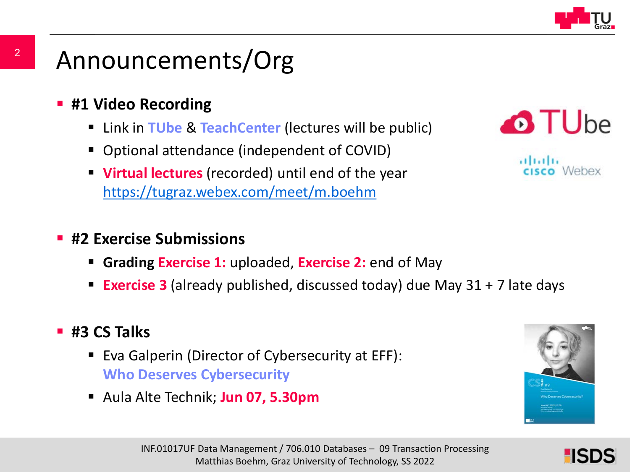

### Announcements/Org

- **#1 Video Recording** 
	- Link in **TUbe** & **TeachCenter** (lectures will be public)
	- Optional attendance (independent of COVID)
	- **Virtual lectures** (recorded) until end of the year <https://tugraz.webex.com/meet/m.boehm>

## **O**TUbe

، ، ، ، ، ، ، ، Webex

#### **#2 Exercise Submissions**

- **Grading Exercise 1:** uploaded, **Exercise 2:** end of May
- **Exercise 3** (already published, discussed today) due May 31 + 7 late days

#### **#3 CS Talks**

- Eva Galperin (Director of Cybersecurity at EFF): **Who Deserves Cybersecurity**
- Aula Alte Technik; **Jun 07, 5.30pm**



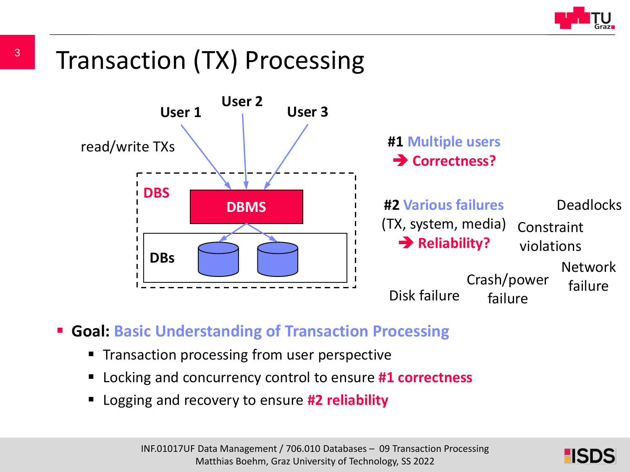

### Transaction (TX) Processing



- **Goal: Basic Understanding of Transaction Processing**
	- Transaction processing from user perspective
	- Locking and concurrency control to ensure **#1 correctness**
	- Logging and recovery to ensure **#2 reliability**

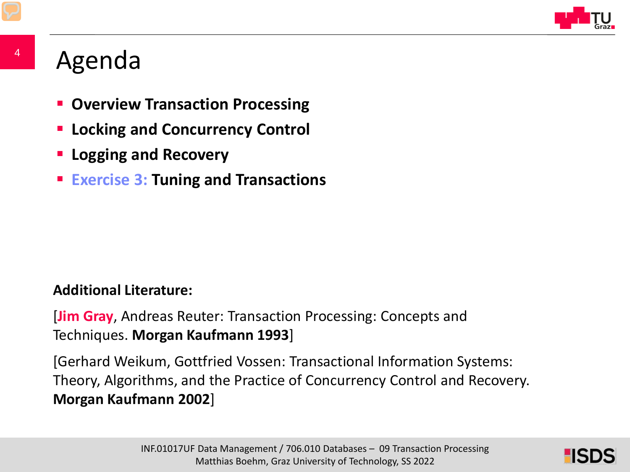

### Agenda

- **E** Overview Transaction Processing
- **Locking and Concurrency Control**
- **Logging and Recovery**
- **Exercise 3: Tuning and Transactions**

#### **Additional Literature:**

[**Jim Gray**, Andreas Reuter: Transaction Processing: Concepts and Techniques. **Morgan Kaufmann 1993**]

[Gerhard Weikum, Gottfried Vossen: Transactional Information Systems: Theory, Algorithms, and the Practice of Concurrency Control and Recovery. **Morgan Kaufmann 2002**]

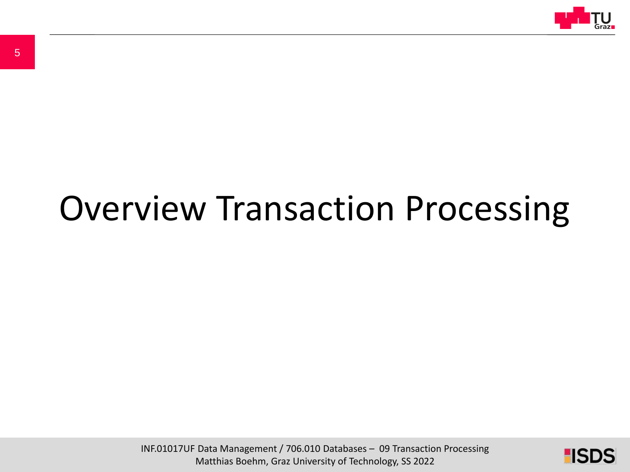

# Overview Transaction Processing

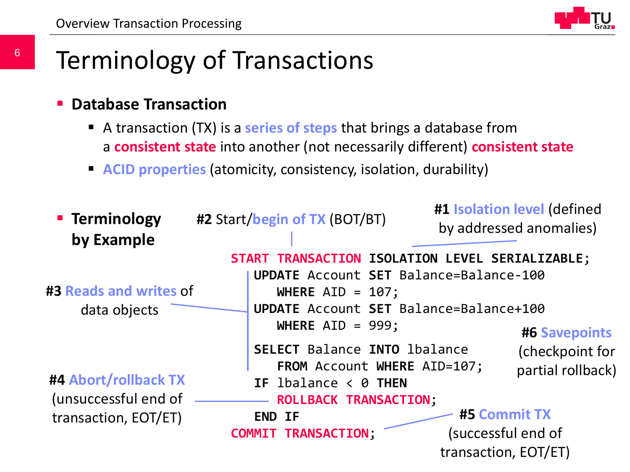

### Terminology of Transactions

- **Database Transaction**
	- A transaction (TX) is a **series of steps** that brings a database from a **consistent state** into another (not necessarily different) **consistent state**
	- **ACID properties** (atomicity, consistency, isolation, durability)

| <b>E</b> Terminology<br>by Example | #2 Start/begin of TX (BOT/BT)                                                                   | #1 Isolation level (defined<br>by addressed anomalies) |  |  |
|------------------------------------|-------------------------------------------------------------------------------------------------|--------------------------------------------------------|--|--|
|                                    | START TRANSACTION ISOLATION LEVEL SERIALIZABLE;                                                 |                                                        |  |  |
|                                    | UPDATE Account SET Balance=Balance-100                                                          |                                                        |  |  |
| #3 Reads and writes of             | WHERE $AID = 107$ ;                                                                             |                                                        |  |  |
| data objects                       |                                                                                                 | UPDATE Account SET Balance=Balance+100                 |  |  |
|                                    | WHERE $AID = 999$ ;                                                                             | <b>#6 Savepoints</b>                                   |  |  |
| #4 Abort/rollback TX               | <b>SELECT Balance INTO lbalance</b><br>FROM Account WHERE AID=107;<br>IF $lba$ lance < $0$ THEN | (checkpoint for<br>partial rollback)                   |  |  |
| (unsuccessful end of               | <b>ROLLBACK TRANSACTION;</b>                                                                    |                                                        |  |  |
| transaction, EOT/ET)               | <b>END IF</b>                                                                                   | <b>#5 Commit TX</b>                                    |  |  |
|                                    | <b>COMMIT TRANSACTION;</b>                                                                      | (successful end of                                     |  |  |
|                                    |                                                                                                 | transaction, EOT/ET)                                   |  |  |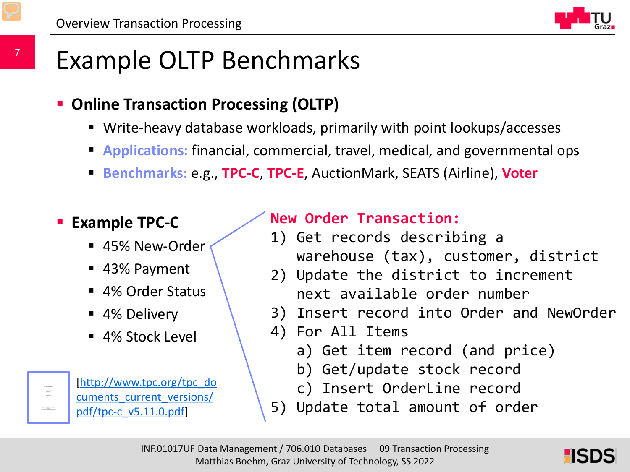

### Example OLTP Benchmarks

- **Online Transaction Processing (OLTP)** 
	- Write-heavy database workloads, primarily with point lookups/accesses
	- **Applications:** financial, commercial, travel, medical, and governmental ops
	- **Benchmarks:** e.g., **TPC-C**, **TPC-E**, AuctionMark, SEATS (Airline), **Voter**

#### **Example TPC-C**

7

 $\begin{picture}(20,20) \put(0,0){\line(1,0){10}} \put(15,0){\line(1,0){10}} \put(15,0){\line(1,0){10}} \put(15,0){\line(1,0){10}} \put(15,0){\line(1,0){10}} \put(15,0){\line(1,0){10}} \put(15,0){\line(1,0){10}} \put(15,0){\line(1,0){10}} \put(15,0){\line(1,0){10}} \put(15,0){\line(1,0){10}} \put(15,0){\line(1,0){10}} \put(15,0){\line(1$  $-41$ 

- 45% New-Order
- 43% Payment
- 4% Order Status
- 4% Delivery
- 4% Stock Level

[http://www.tpc.org/tpc\_do [cuments\\_current\\_versions/](http://www.tpc.org/tpc_documents_current_versions/pdf/tpc-c_v5.11.0.pdf) pdf/tpc-c\_v5.11.0.pdf]

#### **New Order Transaction:**

- 1) Get records describing a warehouse (tax), customer, district
- 2) Update the district to increment next available order number
- 3) Insert record into Order and NewOrder
- 4) For All Items
	- a) Get item record (and price)
	- b) Get/update stock record
	- c) Insert OrderLine record
- Update total amount of order

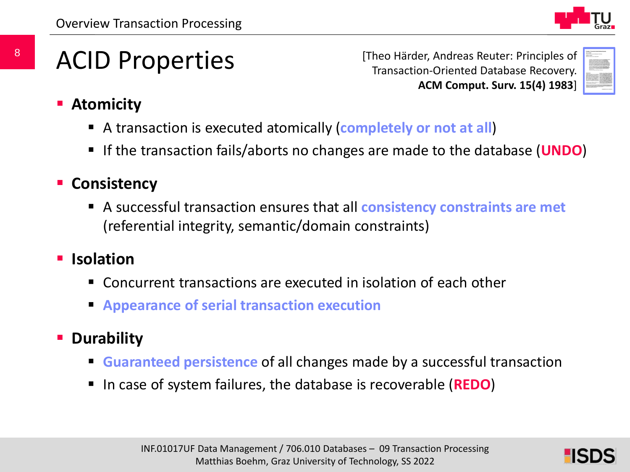

### ACID Properties

[Theo Härder, Andreas Reuter: Principles of Transaction-Oriented Database Recovery. **ACM Comput. Surv. 15(4) 1983**]



- **Atomicity**
	- A transaction is executed atomically (**completely or not at all**)
	- If the transaction fails/aborts no changes are made to the database (**UNDO**)
- **E** Consistency
	- A successful transaction ensures that all **consistency constraints are met** (referential integrity, semantic/domain constraints)
- **Isolation**
	- Concurrent transactions are executed in isolation of each other
	- **Appearance of serial transaction execution**
- **P** Durability
	- **Guaranteed persistence** of all changes made by a successful transaction
	- In case of system failures, the database is recoverable (**REDO**)

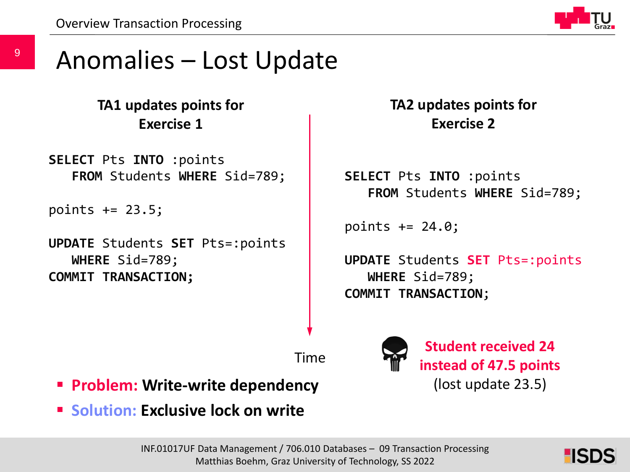

#### Anomalies – Lost Update

#### **TA1 updates points for Exercise 1**

**SELECT** Pts **INTO** :points **FROM** Students **WHERE** Sid=789;

points += 23.5;

**UPDATE** Students **SET** Pts=:points **WHERE** Sid=789; **COMMIT TRANSACTION;**

**TA2 updates points for Exercise 2**

```
SELECT Pts INTO :points
   FROM Students WHERE Sid=789;
```
points += 24.0;

**UPDATE** Students **SET** Pts=:points **WHERE** Sid=789; **COMMIT TRANSACTION**;

**Student received 24** 

**instead of 47.5 points**

(lost update 23.5)

Time

- **Problem: Write-write dependency**
- **Solution: Exclusive lock on write**

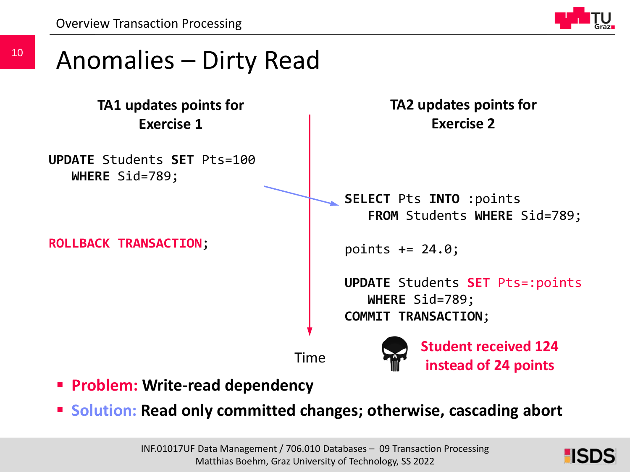Overview Transaction Processing



### Anomalies – Dirty Read

**TA1 updates points for Exercise 1**

**UPDATE** Students **SET** Pts=100 **WHERE** Sid=789;

**ROLLBACK TRANSACTION**;

**TA2 updates points for Exercise 2**

**SELECT** Pts **INTO** :points **FROM** Students **WHERE** Sid=789;

points += 24.0;

**UPDATE** Students **SET** Pts=:points **WHERE** Sid=789; **COMMIT TRANSACTION**;

Time

**Student received 124 instead of 24 points**

- **Problem: Write-read dependency**
- **Solution: Read only committed changes; otherwise, cascading abort**

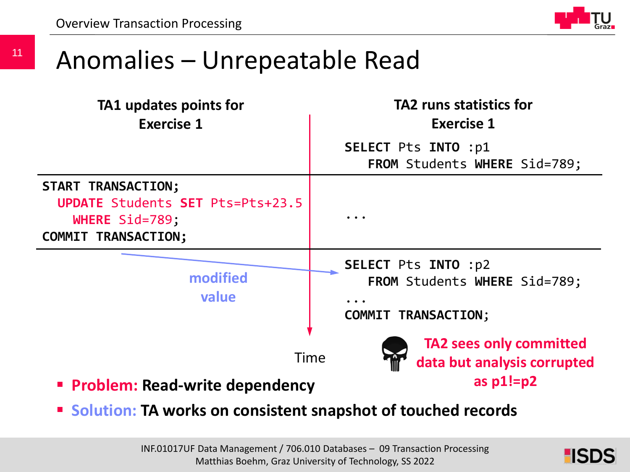11



#### Anomalies – Unrepeatable Read

| TA1 updates points for<br><b>Exercise 1</b>                                                            | <b>TA2 runs statistics for</b><br><b>Exercise 1</b>                                                                 |
|--------------------------------------------------------------------------------------------------------|---------------------------------------------------------------------------------------------------------------------|
|                                                                                                        | <b>SELECT Pts INTO : p1</b><br>FROM Students WHERE Sid=789;                                                         |
| START TRANSACTION;<br>UPDATE Students SET Pts=Pts+23.5<br>WHERE Sid=789;<br><b>COMMIT TRANSACTION;</b> |                                                                                                                     |
| modified<br>value                                                                                      | <b>SELECT Pts INTO :p2</b><br>FROM Students WHERE Sid=789;<br>$\bullet\bullet\bullet$<br><b>COMMIT TRANSACTION;</b> |
| <b>Time</b><br><b>Problem: Read-write dependency</b>                                                   | <b>TA2 sees only committed</b><br>data but analysis corrupted<br>as $p1!=p2$                                        |

**F** Solution: TA works on consistent snapshot of touched records

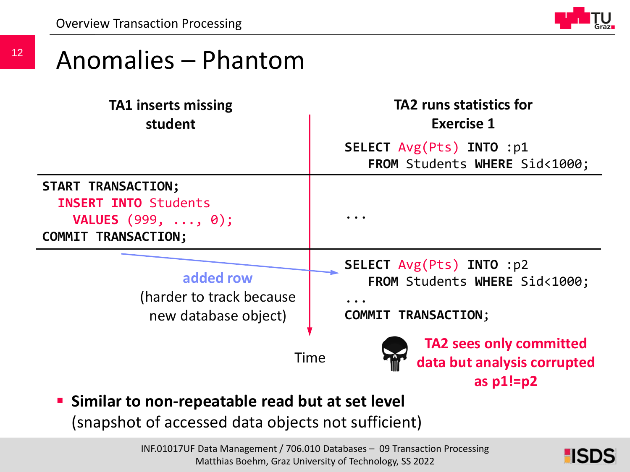12



#### Anomalies – Phantom

| <b>TA1 inserts missing</b><br>student                                                                                 | <b>TA2 runs statistics for</b><br><b>Exercise 1</b>                                                                |  |
|-----------------------------------------------------------------------------------------------------------------------|--------------------------------------------------------------------------------------------------------------------|--|
|                                                                                                                       | SELECT Avg(Pts) INTO :p1<br>FROM Students WHERE Sid<1000;                                                          |  |
| START TRANSACTION;<br><b>INSERT INTO Students</b><br><b>VALUES</b> (999, $\ldots$ , 0);<br><b>COMMIT TRANSACTION;</b> | $\ddot{\phantom{a}}$                                                                                               |  |
| added row<br>(harder to track because)<br>new database object)                                                        | SELECT Avg(Pts) INTO :p2<br>FROM Students WHERE Sid<1000;<br>$\bullet\bullet\bullet$<br><b>COMMIT TRANSACTION;</b> |  |
| • Similar to non-repeatable read but at set level                                                                     | <b>TA2 sees only committed</b><br>Time<br>data but analysis corrupted<br>as $p1!=p2$                               |  |

(snapshot of accessed data objects not sufficient)

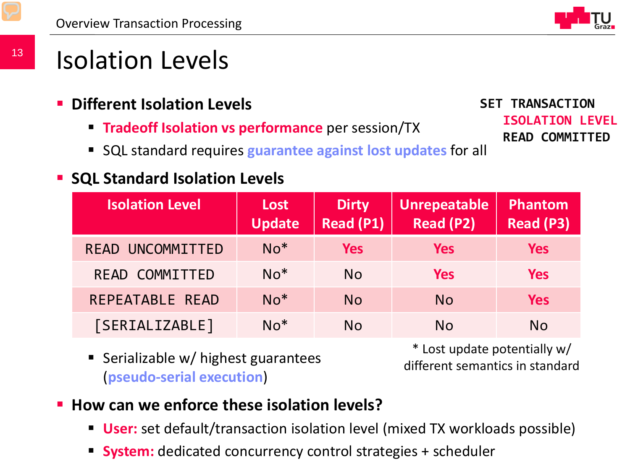

### Isolation Levels

- **Different Isolation Levels**
	- **Tradeoff Isolation vs performance** per session/TX
	- SQL standard requires **guarantee against lost updates** for all

#### **SQL Standard Isolation Levels**

**SET TRANSACTION ISOLATION LEVEL READ COMMITTED**

| <b>Isolation Level</b> | <b>Lost</b><br><b>Update</b> | <b>Dirty</b><br><b>Read (P1)</b> | <b>Unrepeatable</b><br><b>Read (P2)</b> | Phantom<br><b>Read (P3)</b> |
|------------------------|------------------------------|----------------------------------|-----------------------------------------|-----------------------------|
| READ UNCOMMITTED       | $No*$                        | <b>Yes</b>                       | <b>Yes</b>                              | <b>Yes</b>                  |
| <b>READ COMMITTED</b>  | $No*$                        | <b>No</b>                        | <b>Yes</b>                              | <b>Yes</b>                  |
| REPEATABLE READ        | $No*$                        | <b>No</b>                        | <b>No</b>                               | <b>Yes</b>                  |
| [SERIALIZABLE]         | $No*$                        | <b>No</b>                        | <b>No</b>                               | <b>No</b>                   |

Serializable w/ highest guarantees (**pseudo-serial execution**)

\* Lost update potentially w/ different semantics in standard

- **How can we enforce these isolation levels?**
	- **User:** set default/transaction isolation level (mixed TX workloads possible)
	- **System:** dedicated concurrency control strategies + scheduler  $\mathcal{L}_{\mathcal{A}}$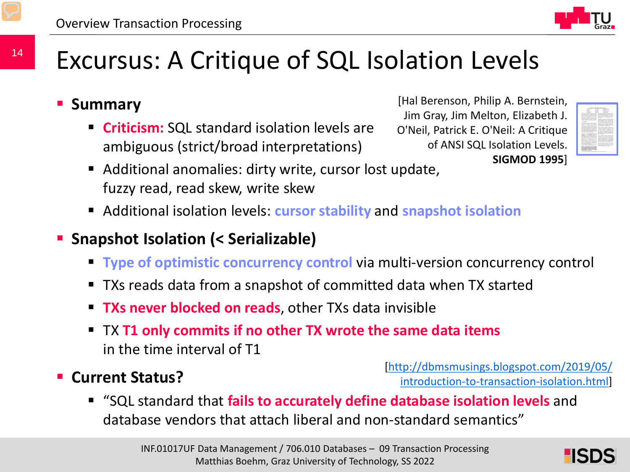

### Excursus: A Critique of SQL Isolation Levels

**Summary**

14

 **Criticism:** SQL standard isolation levels are ambiguous (strict/broad interpretations)

[Hal Berenson, Philip A. Bernstein, Jim Gray, Jim Melton, Elizabeth J. O'Neil, Patrick E. O'Neil: A Critique of ANSI SQL Isolation Levels. **SIGMOD 1995**]



- Additional anomalies: dirty write, cursor lost update, fuzzy read, read skew, write skew
- Additional isolation levels: **cursor stability** and **snapshot isolation**
- **Snapshot Isolation (< Serializable)** 
	- **Type of optimistic concurrency control** via multi-version concurrency control
	- TXs reads data from a snapshot of committed data when TX started
	- **TXs never blocked on reads**, other TXs data invisible
	- TX **T1 only commits if no other TX wrote the same data items** in the time interval of T1
- **Current Status?**

[[http://dbmsmusings.blogspot.com/2019/05/](http://dbmsmusings.blogspot.com/2019/05/introduction-to-transaction-isolation.html) introduction-to-transaction-isolation.html]

 "SQL standard that **fails to accurately define database isolation levels** and database vendors that attach liberal and non-standard semantics"

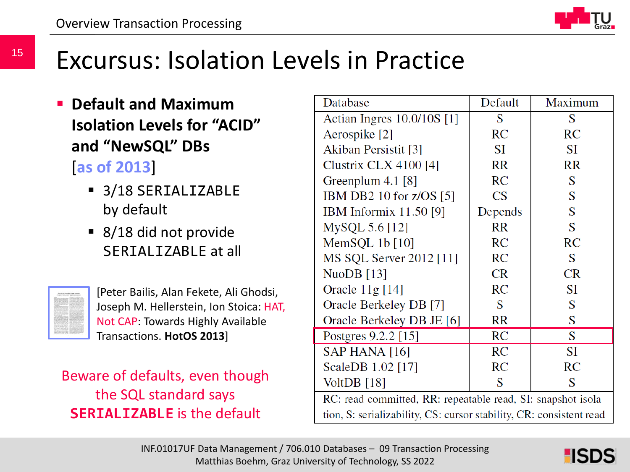

### Excursus: Isolation Levels in Practice

- **Default and Maximum Isolation Levels for "ACID" and "NewSQL" DBs**  [**as of 2013**]
	- 3/18 SERIALIZABLE by default
	- 8/18 did not provide SERTAL TZABLE at all



[Peter Bailis, Alan Fekete, Ali Ghodsi, Joseph M. Hellerstein, Ion Stoica: HAT, Not CAP: Towards Highly Available Transactions. **HotOS 2013**]

Beware of defaults, even though the SQL standard says **SERIALIZABLE** is the default

| Database                                                            | Default   | Maximum   |  |  |
|---------------------------------------------------------------------|-----------|-----------|--|--|
| Actian Ingres 10.0/10S [1]                                          | S         | S         |  |  |
| Aerospike [2]                                                       | RC        | RC        |  |  |
| Akiban Persistit [3]                                                | <b>SI</b> | SI        |  |  |
| Clustrix CLX 4100 [4]                                               | <b>RR</b> | <b>RR</b> |  |  |
| Greenplum $4.1$ [8]                                                 | RC        | S         |  |  |
| IBM DB2 10 for $z/OS$ [5]                                           | CS        | S         |  |  |
| <b>IBM</b> Informix 11.50 [9]                                       | Depends   | S         |  |  |
| MySQL 5.6 [12]                                                      | RR        | S         |  |  |
| MemSQL $1b$ [ $10$ ]                                                | <b>RC</b> | <b>RC</b> |  |  |
| MS SQL Server 2012 [11]                                             | RC        | S         |  |  |
| NuoDB $[13]$                                                        | <b>CR</b> | <b>CR</b> |  |  |
| Oracle $11g$ [14]                                                   | RC        | <b>SI</b> |  |  |
| Oracle Berkeley DB [7]                                              | S         | S         |  |  |
| Oracle Berkeley DB JE [6]                                           | RR        | S         |  |  |
| Postgres 9.2.2 [15]                                                 | <b>RC</b> | S         |  |  |
| SAP HANA [16]                                                       | <b>RC</b> | SI        |  |  |
| ScaleDB 1.02 [17]                                                   | <b>RC</b> | RC        |  |  |
| VoltDB $[18]$                                                       | S         | S         |  |  |
| RC: read committed, RR: repeatable read, SI: snapshot isola-        |           |           |  |  |
| tion, S: serializability, CS: cursor stability, CR: consistent read |           |           |  |  |

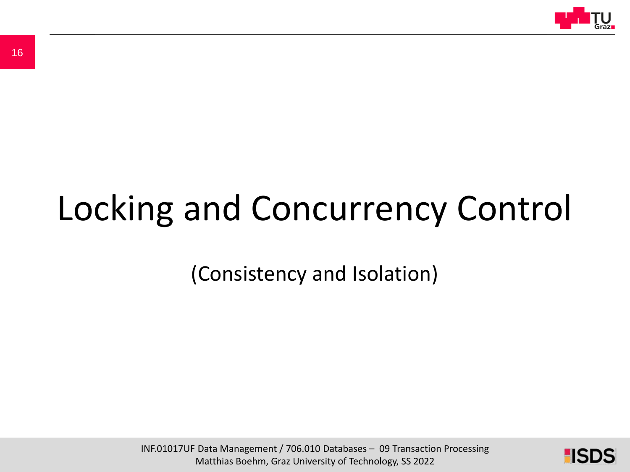

# Locking and Concurrency Control

(Consistency and Isolation)

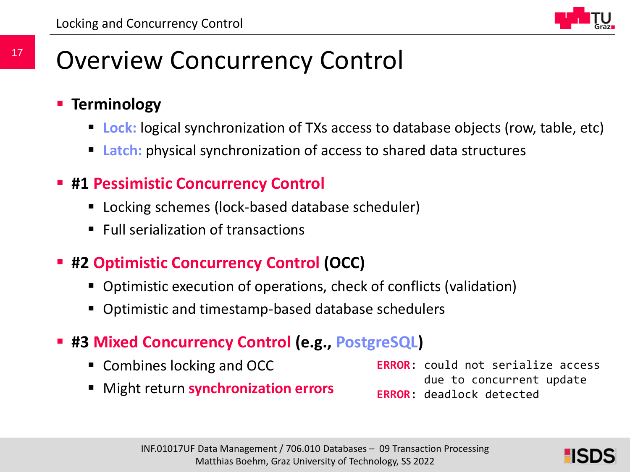

### Overview Concurrency Control

- **Example 5 Ferminology** 
	- **Lock:** logical synchronization of TXs access to database objects (row, table, etc)
	- **Latch:** physical synchronization of access to shared data structures
- **#1 Pessimistic Concurrency Control**
	- Locking schemes (lock-based database scheduler)
	- $\blacksquare$  Full serialization of transactions
- **#2 Optimistic Concurrency Control (OCC)**
	- Optimistic execution of operations, check of conflicts (validation)
	- Optimistic and timestamp-based database schedulers
- **#3 Mixed Concurrency Control (e.g., PostgreSQL)**
	- Combines locking and OCC
	- Might return **synchronization errors**

**ERROR**: could not serialize access due to concurrent update **ERROR**: deadlock detected

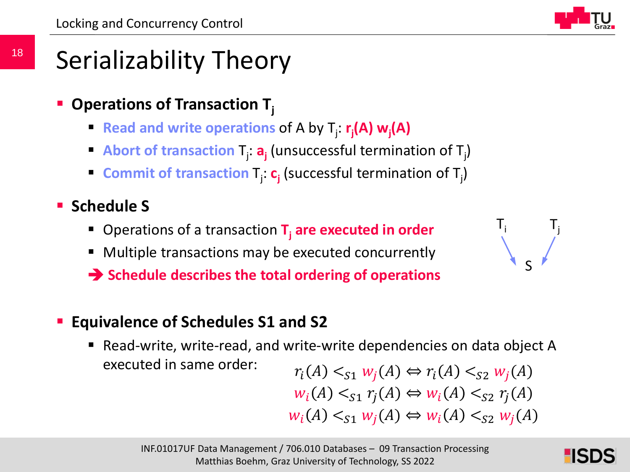

 $T_i$   $T_j$ 

S

### Serializability Theory

- **Operations of Transaction T**<sub>i</sub>
	- **Read and write operations of A by T<sub>j</sub> r<sub>j</sub>(A) w<sub>j</sub>(A)**
	- **Abort of transaction T<sub>j</sub>: a<sub>j</sub> (unsuccessful termination of T<sub>j</sub>)**
	- **Commit of transaction**  $T_j$ :  $c_j$  (successful termination of  $T_j$ )
- **Schedule S** 
	- Operations of a transaction **T<sub>i</sub> are executed in order**
	- Multiple transactions may be executed concurrently
	- **Schedule describes the total ordering of operations**
- **Equivalence of Schedules S1 and S2**
	- Read-write, write-read, and write-write dependencies on data object A executed in same order:

$$
r_i(A) <_{S1} w_j(A) \Leftrightarrow r_i(A) <_{S2} w_j(A)
$$
\n
$$
w_i(A) <_{S1} r_j(A) \Leftrightarrow w_i(A) <_{S2} r_j(A)
$$
\n
$$
w_i(A) <_{S1} w_j(A) \Leftrightarrow w_i(A) <_{S2} w_j(A)
$$

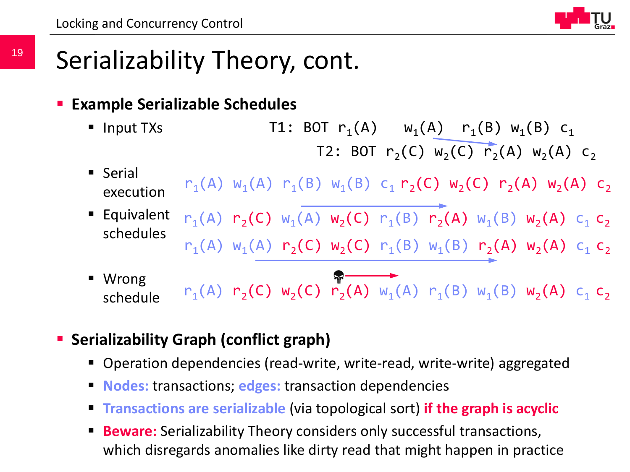### Serializability Theory, cont.

#### **Example Serializable Schedules**

- Input TXs T1: BOT  $r_1(A)$   $w_1(A)$   $r_1(B) w_1(B) c_1$ T2: BOT  $r_2(C)$   $w_2(C)$   $r_2(A)$   $w_2(A)$   $c_2$
- **Serial** execution  $r_1(A)$  w<sub>1</sub>(A)  $r_1(B)$  w<sub>1</sub>(B) c<sub>1</sub>  $r_2(C)$  w<sub>2</sub>(C)  $r_2(A)$  w<sub>2</sub>(A) c<sub>2</sub>
- Equivalent schedules  $r_1(A)$   $r_2(C)$   $w_1(A)$   $w_2(C)$   $r_1(B)$   $r_2(A)$   $w_1(B)$   $w_2(A)$   $c_1$   $c_2$  $r_1(A)$  w<sub>1</sub>(A)  $r_2(C)$  w<sub>2</sub>(C)  $r_1(B)$  w<sub>1</sub>(B)  $r_2(A)$  w<sub>2</sub>(A) c<sub>1</sub> c<sub>2</sub>
- Wrong schedule  $r_1(A)$   $r_2(C)$   $w_2(C)$   $r_2(A)$   $w_1(A)$   $r_1(B)$   $w_1(B)$   $w_2(A)$   $c_1$   $c_2$

#### **Serializability Graph (conflict graph)**

- Operation dependencies (read-write, write-read, write-write) aggregated
- **Nodes:** transactions; **edges:** transaction dependencies
- **Transactions are serializable** (via topological sort) **if the graph is acyclic**
- disregards anomalies like dirty read that might happer Matthias Boehm, Graz University of Technology, SS 2022 **Beware:** Serializability Theory considers only successful transactions, which disregards anomalies like dirty read that might happen in practice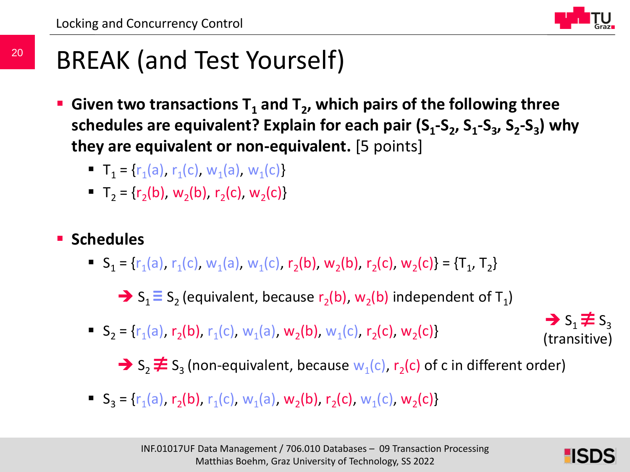

### BREAK (and Test Yourself)

- Given two transactions T<sub>1</sub> and T<sub>2</sub>, which pairs of the following three schedules are equivalent? Explain for each pair (S<sub>1</sub>-S<sub>2</sub>, S<sub>1</sub>-S<sub>3</sub>, S<sub>2</sub>-S<sub>3</sub>) why **they are equivalent or non-equivalent.** [5 points]
	- $\blacksquare$  T<sub>1</sub> = {r<sub>1</sub>(a), r<sub>1</sub>(c), w<sub>1</sub>(a), w<sub>1</sub>(c)}
	- $\blacksquare$  T<sub>2</sub> = {r<sub>2</sub>(b), w<sub>2</sub>(b), r<sub>2</sub>(c), w<sub>2</sub>(c)}

#### **E** Schedules

 $\bullet$   $S_1 = \{r_1(a), r_1(c), w_1(a), w_1(c), r_2(b), w_2(b), r_2(c), w_2(c)\} = \{T_1, T_2\}$ 

 $\Rightarrow$  S<sub>1</sub> $\equiv$  S<sub>2</sub> (equivalent, because r<sub>2</sub>(b), w<sub>2</sub>(b) independent of T<sub>1</sub>)

 $\bullet$  S<sub>2</sub> = {r<sub>1</sub>(a), r<sub>2</sub>(b), r<sub>1</sub>(c), w<sub>1</sub>(a), w<sub>2</sub>(b), w<sub>1</sub>(c), r<sub>2</sub>(c), w<sub>2</sub>(c)}

 $\rightarrow$  S<sub>1</sub> $\neq$  S<sub>3</sub> (transitive)

 $\rightarrow$  S<sub>2</sub>  $\neq$  S<sub>3</sub> (non-equivalent, because w<sub>1</sub>(c), r<sub>2</sub>(c) of c in different order)

 $S_3 = {r_1(a), r_2(b), r_1(c), w_1(a), w_2(b), r_2(c), w_1(c), w_2(c)}$ 

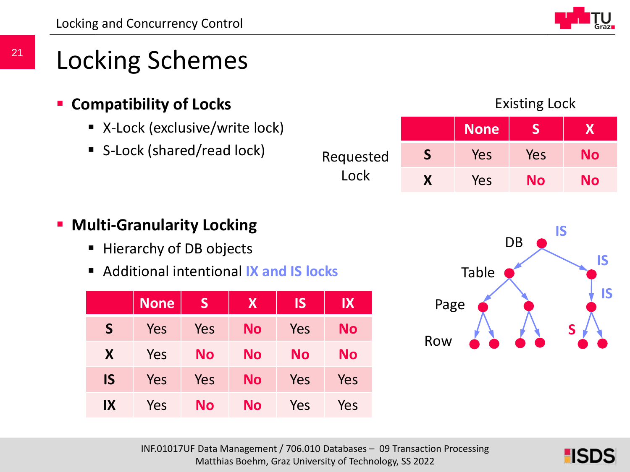### Locking Schemes

#### **Compatibility of Locks**

- X-Lock (exclusive/write lock)
- S-Lock (shared/read lock)

#### **None S X S** Yes Yes **No** Requested

Lock

#### Existing Lock

### **F** Multi-Granularity Locking ■ Hierarchy of DB objects

Additional intentional **IX and IS locks**

|           | <b>None</b> | S          | <b>X</b>  | <b>IS</b> | IX        |
|-----------|-------------|------------|-----------|-----------|-----------|
| S         | Yes         | Yes        | No        | Yes       | <b>No</b> |
| X         | Yes         | <b>No</b>  | No        | <b>No</b> | <b>No</b> |
| <b>IS</b> | Yes         | <b>Yes</b> | <b>No</b> | Yes       | Yes       |
| IX        | Yes         | <b>No</b>  | No        | Yes       | Yes       |



**X** Yes **No No**



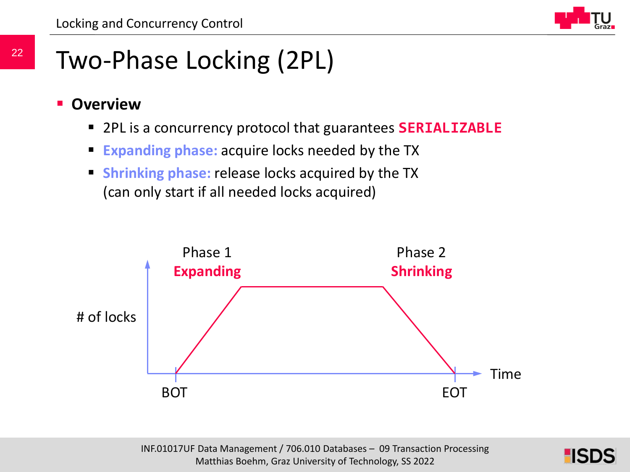### Two-Phase Locking (2PL)

- **Overview**
	- 2PL is a concurrency protocol that guarantees **SERIALIZABLE**
	- **Expanding phase:** acquire locks needed by the TX
	- **Shrinking phase:** release locks acquired by the TX (can only start if all needed locks acquired)



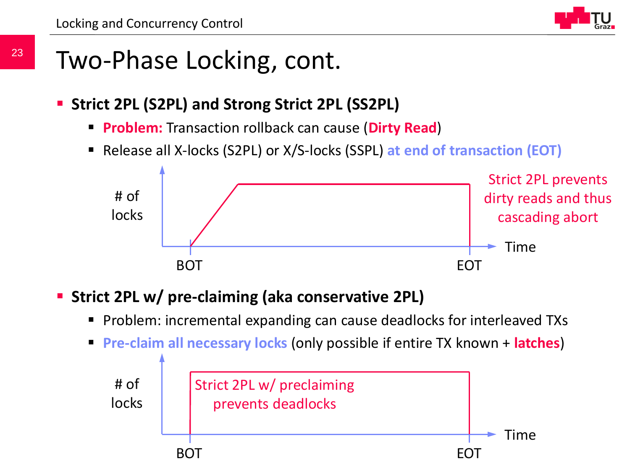### Two-Phase Locking, cont.

- **Strict 2PL (S2PL) and Strong Strict 2PL (SS2PL)** 
	- **Problem:** Transaction rollback can cause (**Dirty Read**)
	- Release all X-locks (S2PL) or X/S-locks (SSPL) **at end of transaction (EOT)**



#### **Strict 2PL w/ pre-claiming (aka conservative 2PL)**

- Problem: incremental expanding can cause deadlocks for interleaved TXs
- **Pre-claim all necessary locks** (only possible if entire TX known + **latches**)

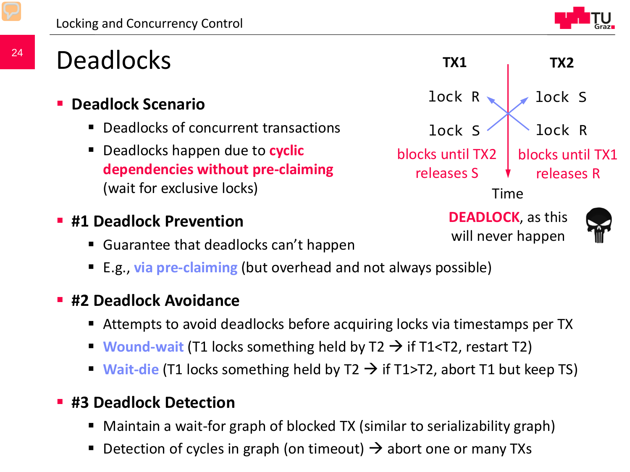

### **Deadlocks**

- **Deadlock Scenario**
	- Deadlocks of concurrent transactions
	- Deadlocks happen due to **cyclic dependencies without pre-claiming** (wait for exclusive locks)
- **#1 Deadlock Prevention**
	- Guarantee that deadlocks can't happen
	- E.g., **via pre-claiming** (but overhead and not always possible)

#### **#2 Deadlock Avoidance**

- Attempts to avoid deadlocks before acquiring locks via timestamps per TX
- **Wound-wait** (T1 locks something held by  $T2 \rightarrow fT1$  and  $T2$ , restart T2)
- **Wait-die** (T1 locks something held by  $T2 \rightarrow f$  if T1>T2, abort T1 but keep TS)

#### **#3 Deadlock Detection**

- Maintain a wait-for graph of blocked TX (similar to serializability graph)
- Detection of cycles in graph (on timeout)  $\rightarrow$  abort one or many TXs Matthias Boehm, Graz University of Technology, SS 2022



will never happen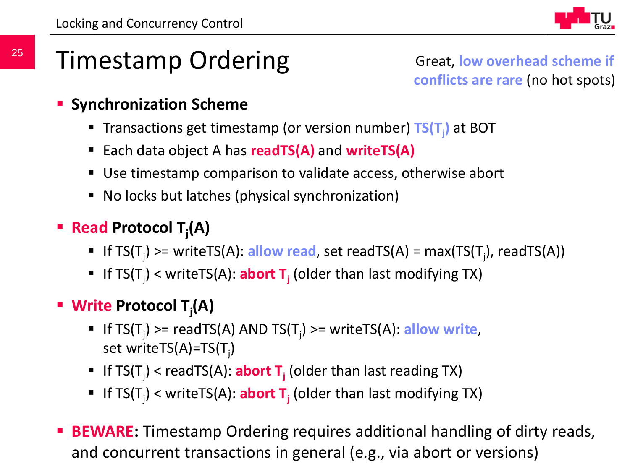

### Timestamp Ordering

Great, **low overhead scheme if conflicts are rare** (no hot spots)

- **Synchronization Scheme** 
	- Transactions get timestamp (or version number) TS(T<sub>j</sub>) at BOT
	- Each data object A has **readTS(A)** and **writeTS(A)**
	- Use timestamp comparison to validate access, otherwise abort
	- No locks but latches (physical synchronization)
- **Read Protocol Tj (A)**
	- If TS(T<sub>j</sub>) >= writeTS(A): allow read, set readTS(A) = max(TS(T<sub>j</sub>), readTS(A))
	- If TS(T<sub>j</sub>) < writeTS(A): **abort T**<sub>j</sub> (older than last modifying TX)
- **Write Protocol Tj (A)**
	- If TS(T<sub>j</sub>) >= readTS(A) AND TS(T<sub>j</sub>) >= writeTS(A): allow write, set writeTS(A)=TS(T<sub>j</sub>)
	- If TS(T<sub>j</sub>) < readTS(A): **abort T**<sub>j</sub> (older than last reading TX)
	- If TS(T<sub>j</sub>) < writeTS(A): **abort T**<sub>j</sub> (older than last modifying TX)
- $I$ and concurrent transactions in general (e.g., via abort or versions) **BEWARE:** Timestamp Ordering requires additional handling of dirty reads,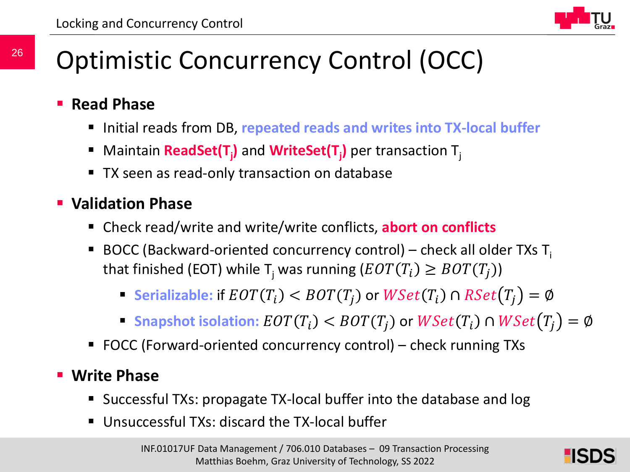

### Optimistic Concurrency Control (OCC)

- **Read Phase**
	- Initial reads from DB, **repeated reads and writes into TX-local buffer**
	- Maintain **ReadSet(T<sub>j</sub>)** and WriteSet(T<sub>j</sub>) per transaction T<sub>j</sub>
	- **TX seen as read-only transaction on database**

#### **Validation Phase**

- Check read/write and write/write conflicts, **abort on conflicts**
- BOCC (Backward-oriented concurrency control) check all older TXs  $T_i$ that finished (EOT) while T<sub>i</sub> was running  $( EOT(T_i) \geq BOT(T_i) )$ 
	- **Serializable:** if  $EOT(T_i) < BOT(T_i)$  or  $WSet(T_i) \cap RSet(T_i) = \emptyset$
	- **Snapshot isolation:**  $EOT(T_i) < BOT(T_i)$  or  $WSet(T_i) \cap WSet(T_i) = \emptyset$
- FOCC (Forward-oriented concurrency control) check running TXs

#### **Write Phase**

- Successful TXs: propagate TX-local buffer into the database and log
- Unsuccessful TXs: discard the TX-local buffer

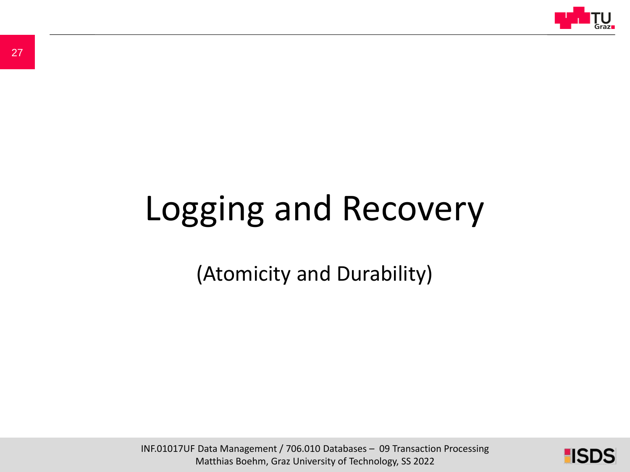

# Logging and Recovery

(Atomicity and Durability)

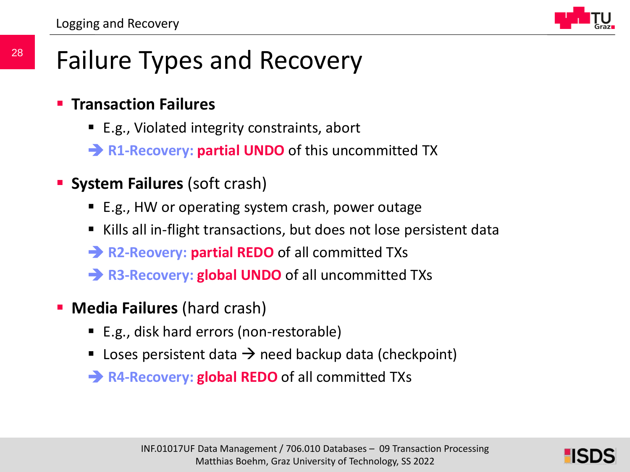

### Failure Types and Recovery

- **Transaction Failures**
	- E.g., Violated integrity constraints, abort
	- **R1-Recovery: partial UNDO** of this uncommitted TX
- **System Failures** (soft crash)
	- E.g., HW or operating system crash, power outage
	- Kills all in-flight transactions, but does not lose persistent data
	- **R2-Reovery: partial REDO** of all committed TXs
	- **R3-Recovery: global UNDO** of all uncommitted TXs
- **Media Failures (hard crash)** 
	- E.g., disk hard errors (non-restorable)
	- Loses persistent data  $\rightarrow$  need backup data (checkpoint)
	- **→ R4-Recovery: global REDO** of all committed TXs

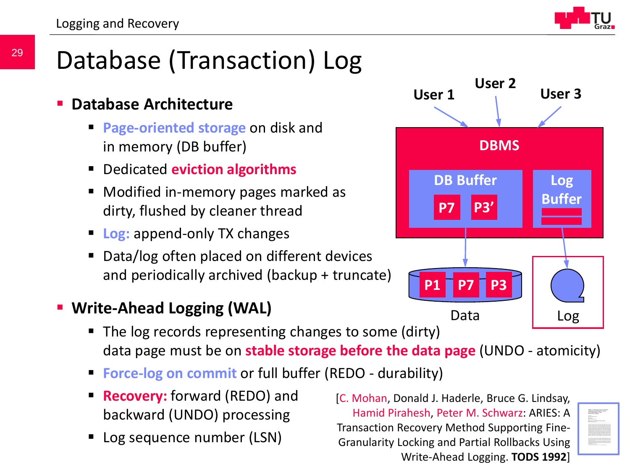

### Database (Transaction) Log

#### **Database Architecture**

- **Page-oriented storage** on disk and in memory (DB buffer)
- Dedicated **eviction algorithms**
- Modified in-memory pages marked as dirty, flushed by cleaner thread
- **Log:** append-only TX changes
- Data/log often placed on different devices and periodically archived (backup + truncate)

#### **Write-Ahead Logging (WAL)**

- The log records representing changes to some (dirty) data page must be on **stable storage before the data page** (UNDO - atomicity)
- **Force-log on commit** or full buffer (REDO durability)
- **Recovery:** forward (REDO) and backward (UNDO) processing
- Log sequence number (LSN)



INF.0017UF Data Management (COIN)<br>Cranularity Locking and Partial Rollbacks Using  $M = 2022 \times 10^{-10}$ [C. Mohan, Donald J. Haderle, Bruce G. Lindsay, Hamid Pirahesh, Peter M. Schwarz: ARIES: A Transaction Recovery Method Supporting Fine-Write-Ahead Logging. **TODS 1992**]

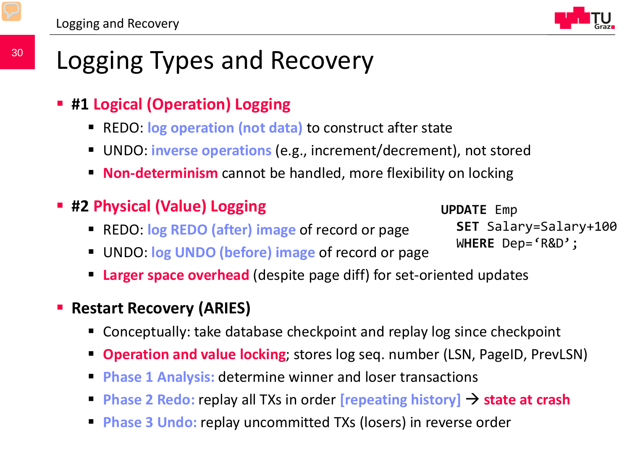### Logging Types and Recovery

- **#1 Logical (Operation) Logging**
	- REDO: **log operation (not data)** to construct after state
	- UNDO: **inverse operations** (e.g., increment/decrement), not stored
	- **Non-determinism** cannot be handled, more flexibility on locking
- **#2 Physical (Value) Logging**
	- REDO: **log REDO (after) image** of record or page
	- UNDO: **log UNDO (before) image** of record or page
	- **Larger space overhead** (despite page diff) for set-oriented updates
- **Restart Recovery (ARIES)** 
	- Conceptually: take database checkpoint and replay log since checkpoint
	- **Deration and value locking**; stores log seq. number (LSN, PageID, PrevLSN)
	- **Phase 1 Analysis:** determine winner and loser transactions
	- **Phase 2 Redo:** replay all TXs in order **[repeating history] state at crash**
	- **Phase 3 Undo:** replay uncommitted TXs (losers) in reverse order

**UPDATE** Emp **SET** Salary=Salary+100 W**HERE** Dep='R&D';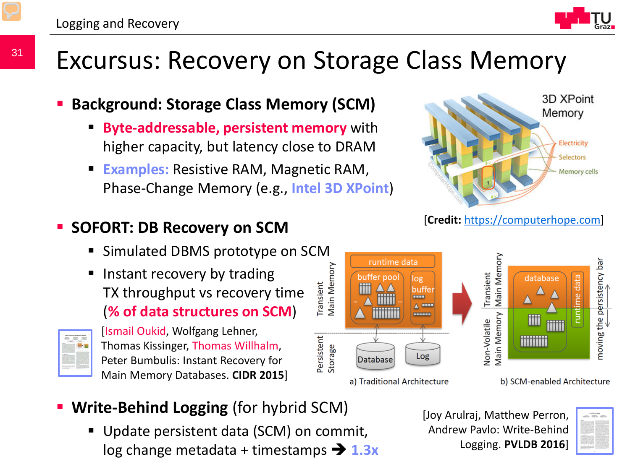31



### Excursus: Recovery on Storage Class Memory

#### **Background: Storage Class Memory (SCM)**

- **Byte-addressable, persistent memory** with higher capacity, but latency close to DRAM
- **Examples:** Resistive RAM, Magnetic RAM, Phase-Change Memory (e.g., **Intel 3D XPoint**)



[**Credit:** [https://computerhope.com](https://www.computerhope.com/)]

Logging. **PVLDB 2016**]



a) Traditional Architecture

b) SCM-enabled Architecture

- **Write-Behind Logging** (for hybrid SCM)
	- log change metadata + timestamps  $\rightarrow$  **1.3x** Logging Matthias Boehm, Graz University of Technology, SS 2022 Update persistent data (SCM) on commit,

#### [Joy Arulraj, Matthew Perron, Andrew Pavlo: Write-Behind

#### **SOFORT: DB Recovery on SCM**

- Simulated DBMS prototype on SCM
- **If** Instant recovery by trading TX throughput vs recovery time (**% of data structures on SCM**)



[Ismail Oukid, Wolfgang Lehner, Thomas Kissinger, Thomas Willhalm, Peter Bumbulis: Instant Recovery for Main Memory Databases. **CIDR 2015**]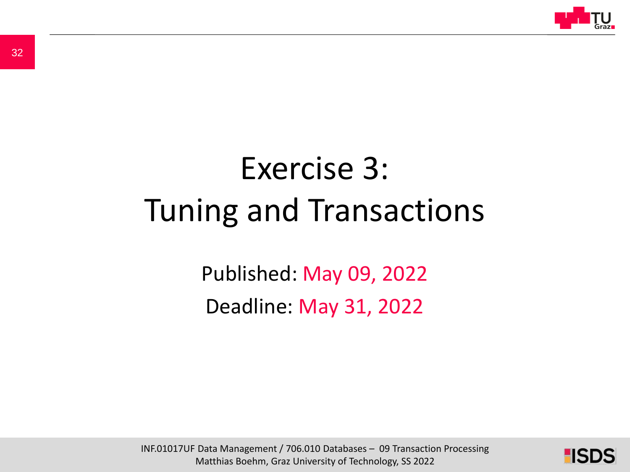

# Exercise 3: Tuning and Transactions

Published: May 09, 2022 Deadline: May 31, 2022

INF.01017UF Data Management / 706.010 Databases – 09 Transaction Processing Matthias Boehm, Graz University of Technology, SS 2022

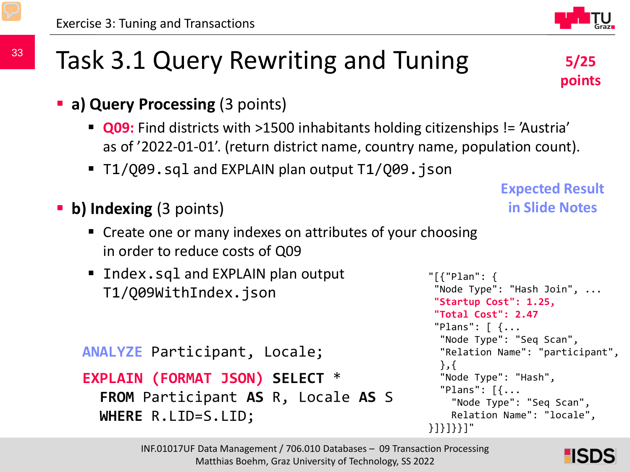### Task 3.1 Query Rewriting and Tuning

- **a) Query Processing** (3 points)
	- **Q09:** Find districts with >1500 inhabitants holding citizenships != 'Austria' as of '2022-01-01'. (return district name, country name, population count).
	- **T1/Q09.sql and EXPLAIN plan output T1/Q09.json**
- **b) Indexing** (3 points)
	- **Create one or many indexes on attributes of your choosing** in order to reduce costs of Q09
	- **Index.sql and EXPLAIN plan output** T1/Q09WithIndex.json

```
ANALYZE Participant, Locale;
```

```
EXPLAIN (FORMAT JSON) SELECT * 
 FROM Participant AS R, Locale AS S 
 WHERE R.LID=S.LID;
```

```
in Slide Notes
```
**Expected Result** 

```
"[{"Plan": {
 "Node Type": "Hash Join", ...
 "Startup Cost": 1.25, 
 "Total Cost": 2.47
 "Plans": [ {...
  "Node Type": "Seq Scan",
  "Relation Name": "participant",
  },{
  "Node Type": "Hash",
  "Plans": [{...
    "Node Type": "Seq Scan",
    Relation Name": "locale", 
}]}]}}]"
```


**5/25** 

**points**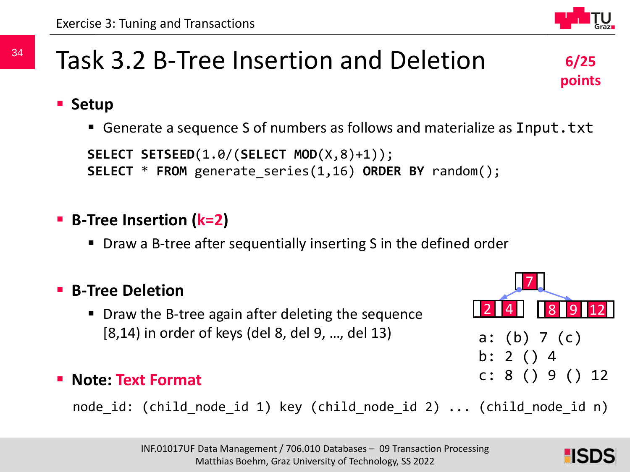### Task 3.2 B-Tree Insertion and Deletion

#### **Setup**

■ Generate a sequence S of numbers as follows and materialize as Input.txt

```
SELECT SETSEED(1.0/(SELECT MOD(X,8)+1));
SELECT * FROM generate_series(1,16) ORDER BY random();
```
#### **B-Tree Insertion (k=2)**

■ Draw a B-tree after sequentially inserting S in the defined order

#### **B-Tree Deletion**

■ Draw the B-tree again after deleting the sequence [8,14) in order of keys (del 8, del 9, …, del 13)

#### **Note: Text Format**

node\_id: (child\_node\_id 1) key (child\_node\_id 2) ... (child\_node\_id n)







**6/25** 

**points**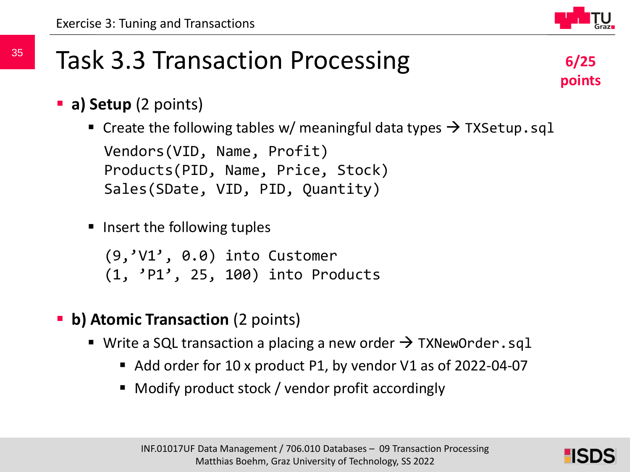## (9,'V1', 0.0) into Customer

- **b) Atomic Transaction** (2 points)
	- Write a SQL transaction a placing a new order  $\rightarrow$  TXNewOrder.sql
		- Add order for 10 x product P1, by vendor V1 as of 2022-04-07
		- Modify product stock / vendor profit accordingly



- **a) Setup** (2 points)
	- **Create the following tables w/ meaningful data types**  $\rightarrow$  **TXSetup.sql** Vendors(VID, Name, Profit) Products(PID, Name, Price, Stock) Sales(SDate, VID, PID, Quantity)
	- Insert the following tuples

(1, 'P1', 25, 100) into Products

35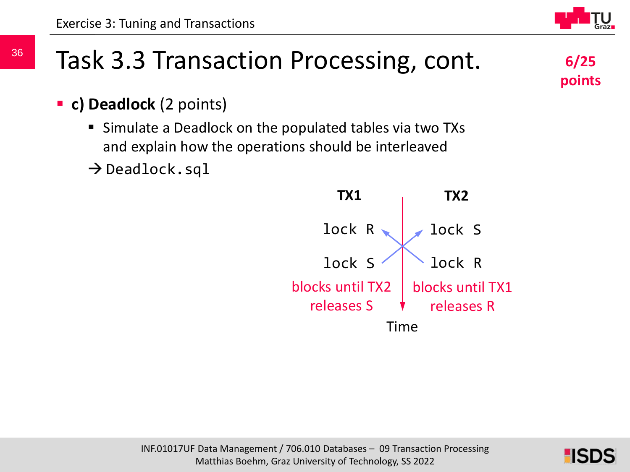### Task 3.3 Transaction Processing, cont.

**c) Deadlock** (2 points)

36

- Simulate a Deadlock on the populated tables via two TXs and explain how the operations should be interleaved
- $\rightarrow$  Deadlock.sql



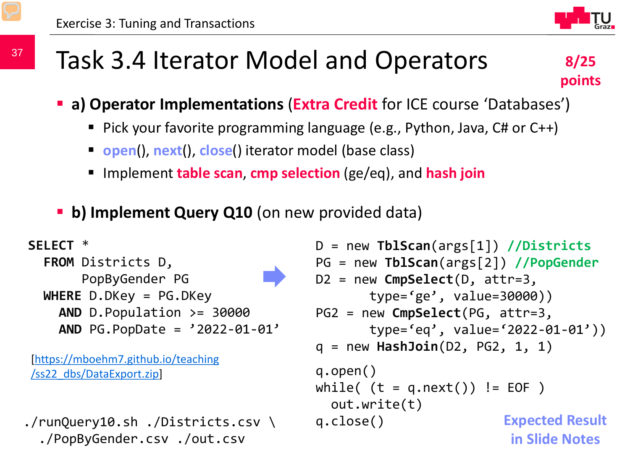### Task 3.4 Iterator Model and Operators



- **a) Operator Implementations (Extra Credit** for ICE course 'Databases')
	- Pick your favorite programming language (e.g., Python, Java,  $CH$  or  $CH$ )
	- **open**(), **next**(), **close**() iterator model (base class)
	- Implement **table scan**, **cmp selection** (ge/eq), and **hash join**
- **b) Implement Query Q10** (on new provided data)

```
SELECT *
  FROM Districts D, 
       PopByGender PG
  WHERE D.DKey = PG.DKey
    AND D.Population >= 30000
    AND PG.PopDate = '2022-01-01'
```
[\[https://mboehm7.github.io/teaching](https://mboehm7.github.io/teaching/ss22_dbs/DataExport.zip) /ss22\_dbs/DataExport.zip]

```
./runQuery10.sh ./Districts.csv \
  ./PopByGender.csv ./out.csv
```

```
INF.01017UF Data Management / 706.010 Databases – 09 Transaction Processing
                         D = new TblScan(args[1]) //Districts
                         PG = new TblScan(args[2]) //PopGender
                         D2 = new CmpSelect(D, attr=3, 
                                 type='ge', value=30000))
                         PG2 = new CmpSelect(PG, attr=3, 
                                 type='eq', value='2022-01-01'))
                         q = new HashJoin(D2, PG2, 1, 1)
                         q.open()
                         while( (t = q.next()) != EOF )
                           out.write(t)
                         q.close()
                                                     Expected Result 
                                                      in Slide Notes
```
37